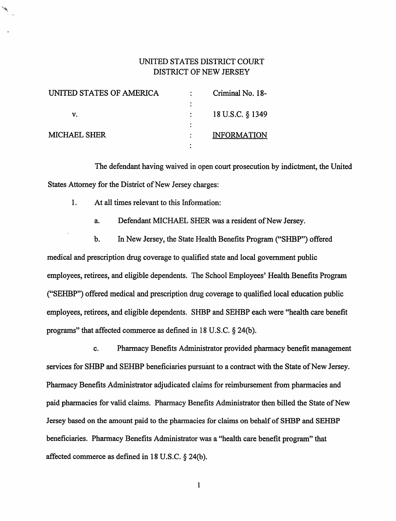# UNITED STATES DISTRICT COURT DISTRICT OF NEW JERSEY

| UNITED STATES OF AMERICA | Criminal No. 18-   |
|--------------------------|--------------------|
|                          |                    |
| v.                       | 18 U.S.C. § 1349   |
|                          |                    |
| <b>MICHAEL SHER</b>      | <b>INFORMATION</b> |
|                          |                    |

 $\mathcal{L}$ 

The defendant having waived in open court prosecution by indictment, the United States Attorney for the District of New Jersey charges:

1. At all times relevant to this Information:

a. Defendant MICHAEL SHER was a resident of New Jersey.

b. In New Jersey, the State Health Benefits Program ("SHBP") offered medical and prescription drug coverage to qualified state and local government public employees, retirees, and eligible dependents. The School Employees' Health Benefits Program ("SEHBP") offered medical and prescription drug coverage to qualified local education public employees, retirees, and eligible dependents. SHBP and SEHBP each were "health care benefit programs" that affected commerce as defined in 18 U.S.C. § 24(b).

c. Pharmacy Benefits Administrator provided pharmacy benefit management services for SHBP and SEHBP beneficiaries pursuant to a contract with the State of New Jersey. Pharmacy Benefits Administrator adjudicated claims for reimbursement from pharmacies and paid pharmacies for valid claims. Pharmacy Benefits Administrator then billed the State of New Jersey based on the amount paid to the pharmacies for claims on behalf of SHBP and SEHBP beneficiaries. Pharmacy Benefits Administrator was a "health care benefit program" that affected commerce as defined in 18 U.S.C. § 24(b).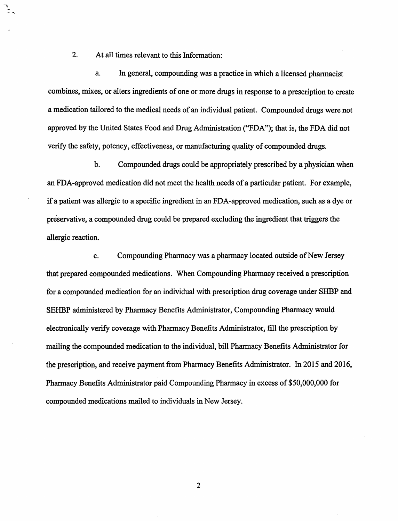2. At all times relevant to this Information:

a. In general, compounding was a practice in which a licensed pharmacist combines, mixes, or alters ingredients of one or more drugs in response to a prescription to create a medication tailored to the medical needs of an individual patient. Compounded drugs were not approved by the United States Food and Drug Administration ("FDA"); that is, the FDA did not verify the safety, potency, effectiveness, or manufacturing quality of compounded drugs.

b. Compounded drugs could be appropriately prescribed by a physician when an FDA-approved medication did not meet the health needs of a particular patient. For example, if a patient was allergic to a specific ingredient in an FDA-approved medication, such as a dye or preservative, a compounded drug could be prepared excluding the ingredient that triggers the allergic reaction.

c. Compounding Pharmacy was a pharmacy located outside of New Jersey that prepared compounded medications. When Compounding Pharmacy received a prescription for a compounded medication for an individual with prescription drug coverage under SHBP and SEHBP administered by Pharmacy Benefits Administrator, Compounding Pharmacy would electronically verify coverage with Pharmacy Benefits Administrator, fill the prescription by mailing the compounded medication to the individual, bill Pharmacy Benefits Administrator for the prescription, and receive payment from Pharmacy Benefits Administrator. In 2015 and 2016, Pharmacy Benefits Administrator paid Compounding Pharmacy in excess of \$50,000,000 for compounded medications mailed to individuals in New Jersey.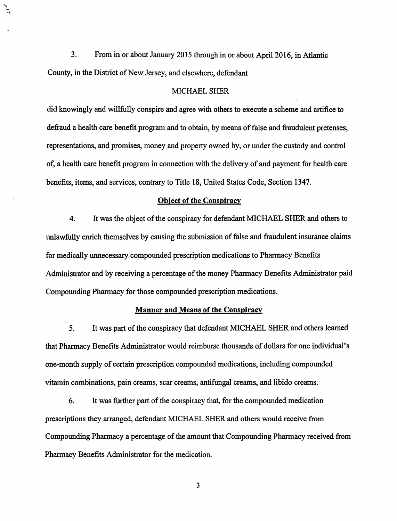3. From in or about January 2015 through in or about April 2016, in Atlantic County, in the District of New Jersey, and elsewhere, defendant

#### MICHAEL SHER

did knowingly and willfully conspire and agree with others to execute a scheme and artifice to defraud a health care benefit program and to obtain, by means of false and fraudulent pretenses, representations, and promises, money and property owned by, or under the custody and control of, a health care benefit program in connection with the delivery of and payment for health care benefits, items, and services, contrary to Title 18, United States Code, Section 1347.

# **Object of the Conspiracy**

4. It was the object of the conspiracy for defendant MICHAEL SHER and others to unlawfully enrich themselves by causing the submission of false and fraudulent insurance claims for medically unnecessary compounded prescription medications to Pharmacy Benefits Administrator and by receiving a percentage of the money Pharmacy Benefits Administrator paid Compounding Pharmacy for those compounded prescription medications.

# **Manner and Means of the Conspiracy**

5. It was part of the conspiracy that defendant MICHAEL SHER and others learned that Pharmacy Benefits Administrator would reimburse thousands of dollars for one individual's one-month supply of certain prescription compounded medications, including compounded vitamin combinations, pain creams, scar creams, antifungal creams, and libido creams.

6. It was further part of the conspiracy that, for the compounded medication prescriptions they arranged, defendant MICHAEL SHER and others would receive from Compounding Pharmacy a percentage of the amount that Compounding Pharmacy received from Pharmacy Benefits Administrator for the medication.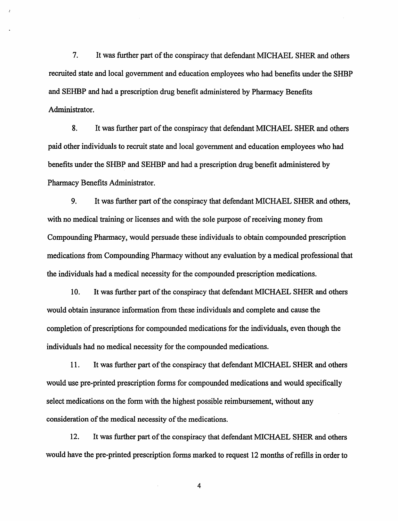7. It was further part of the conspiracy that defendant MICHAEL SHER and others recruited state and local government and education employees who had benefits under the SHBP and SEHBP and had a prescription drug benefit administered by Pharmacy Benefits Administrator.

8. It was further part of the conspiracy that defendant MICHAEL SHER and others paid other individuals to recruit state and local government and education employees who had benefits under the SHBP and SEHBP and had a prescription drug benefit administered by Pharmacy Benefits Administrator.

9. It was further part of the conspiracy that defendant MICHAEL SHER and others, with no medical training or licenses and with the sole purpose of receiving money from Compounding Pharmacy, would persuade these individuals to obtain compounded prescription medications from Compounding Pharmacy without any evaluation by a medical professional that the individuals had a medical necessity for the compounded prescription medications.

10. It was further part of the conspiracy that defendant MICHAEL SHER and others would obtain insurance information from these individuals and complete and cause the completion of prescriptions for compounded medications for the individuals, even though the individuals had no medical necessity for the compounded medications.

11. It was further part of the conspiracy that defendant MICHAEL SHER and others would use pre-printed prescription forms for compounded medications and would specifically select medications on the form with the highest possible reimbursement, without any consideration of the medical necessity of the medications.

12. It was further part of the conspiracy that defendant MICHAEL SHER and others would have the pre-printed prescription forms marked to request 12 months of refills in order to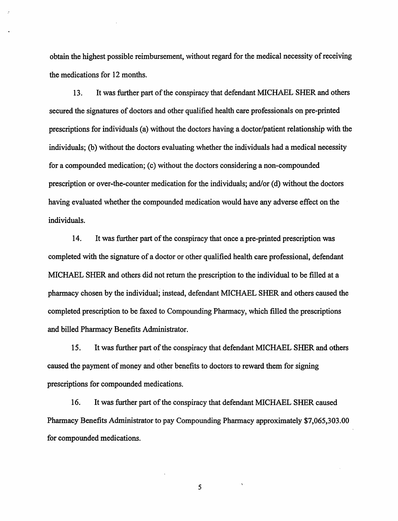obtain the highest possible reimbursement, without regard for the medical necessity of receiving the medications for 12 months.

13. It was further part of the conspiracy that defendant MICHAEL SHER and others secured the signatures of doctors and other qualified health care professionals on pre-printed prescriptions for individuals (a) without the doctors having a doctor/patient relationship with the individuals; (b) without the doctors evaluating whether the individuals had a medical necessity for a compounded medication; (c) without the doctors considering a non-compounded prescription or over-the-counter medication for the individuals; and/or (d) without the doctors having evaluated whether the compounded medication would have any adverse effect on the individuals.

14. It was further part of the conspiracy that once a pre-printed prescription was completed with the signature of a doctor or other qualified health care professional, defendant MICHAEL SHER and others did not return the prescription to the individual to be filled at a pharmacy chosen by the individual; instead, defendant MICHAEL SHER and others caused the completed prescription to be faxed to Compounding Pharmacy, which filled the prescriptions and billed Pharmacy Benefits Administrator.

15. It was further part of the conspiracy that defendant MICHAEL SHER and others caused the payment of money and other benefits to doctors to reward them for signing prescriptions for compounded medications.

16. It was further part of the conspiracy that defendant MICHAEL SHER caused Pharmacy Benefits Administrator to pay Compounding Pharmacy approximately \$7,065,303.00 for compounded medications.

5

 $\bar{\mathbf{v}}$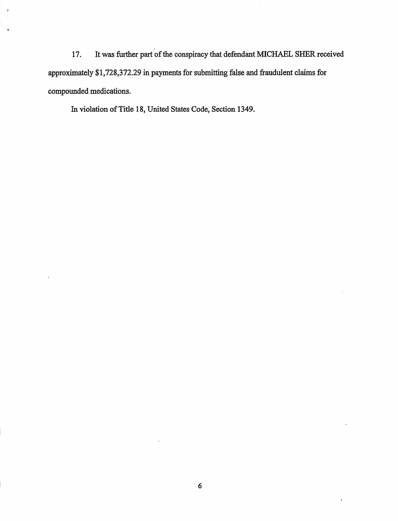17. It was further part of the conspiracy that defendant MICHAEL SHER received approximately \$1,728,372.29 in payments for submitting false and fraudulent claims for compounded medications.

In violation of Title 18, United States Code, Section 1349.